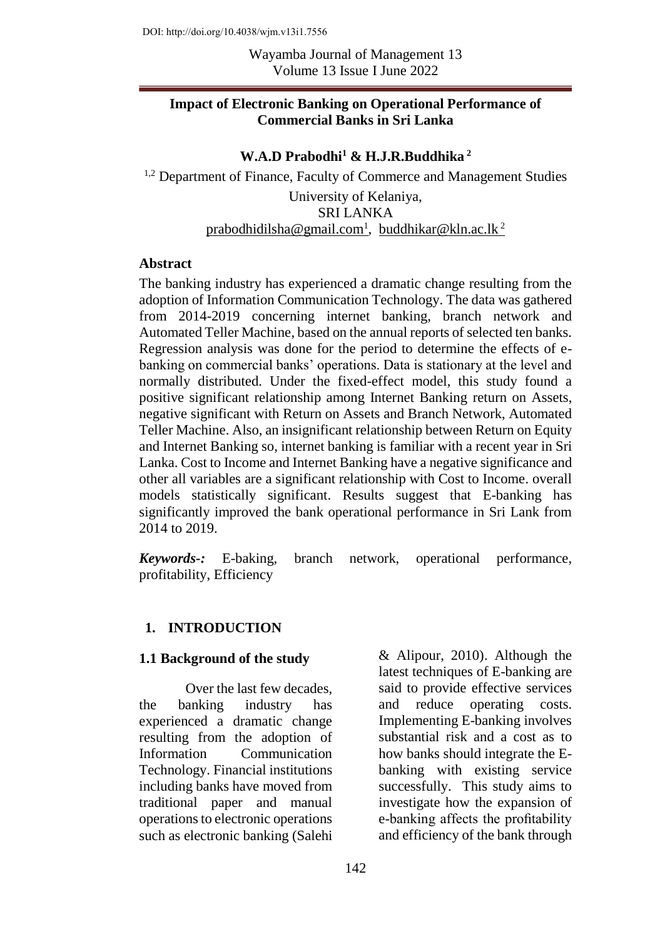Wayamba Journal of Management 13 Volume 13 Issue I June 2022

#### **Impact of Electronic Banking on Operational Performance of Commercial Banks in Sri Lanka**

**W.A.D Prabodhi<sup>1</sup> & H.J.R.Buddhika<sup>2</sup>**

<sup>1,2</sup> Department of Finance, Faculty of Commerce and Management Studies University of Kelaniya, SRI LANKA <u>[prabodhidilsha@gmail.com](mailto:prabodhidilsha@gmail.com1)<sup>1</sup>, [buddhikar@kln.ac.lk](mailto:buddhikar@kln.ac.lk%202)<sup>2</sup></u>

#### **Abstract**

The banking industry has experienced a dramatic change resulting from the adoption of Information Communication Technology. The data was gathered from 2014-2019 concerning internet banking, branch network and Automated Teller Machine, based on the annual reports of selected ten banks. Regression analysis was done for the period to determine the effects of ebanking on commercial banks' operations. Data is stationary at the level and normally distributed. Under the fixed-effect model, this study found a positive significant relationship among Internet Banking return on Assets, negative significant with Return on Assets and Branch Network, Automated Teller Machine. Also, an insignificant relationship between Return on Equity and Internet Banking so, internet banking is familiar with a recent year in Sri Lanka. Cost to Income and Internet Banking have a negative significance and other all variables are a significant relationship with Cost to Income. overall models statistically significant. Results suggest that E-banking has significantly improved the bank operational performance in Sri Lank from 2014 to 2019.

*Keywords-:* E-baking, branch network, operational performance, profitability, Efficiency

#### **1. INTRODUCTION**

#### **1.1 Background of the study**

Over the last few decades, the banking industry has experienced a dramatic change resulting from the adoption of Information Communication Technology. Financial institutions including banks have moved from traditional paper and manual operations to electronic operations such as electronic banking (Salehi

& Alipour, 2010). Although the latest techniques of E-banking are said to provide effective services and reduce operating costs. Implementing E-banking involves substantial risk and a cost as to how banks should integrate the Ebanking with existing service successfully. This study aims to investigate how the expansion of e-banking affects the profitability and efficiency of the bank through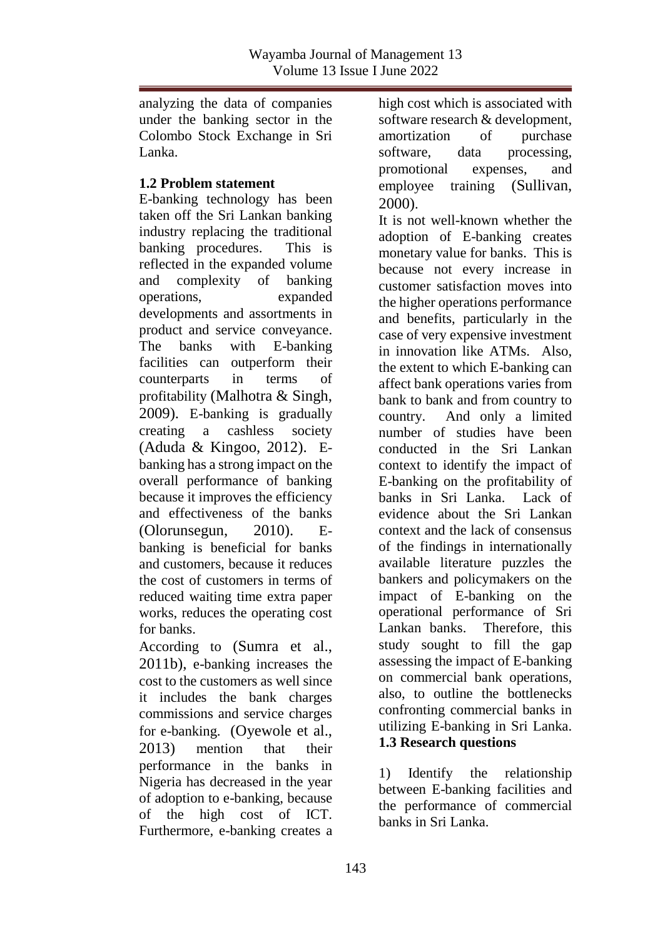analyzing the data of companies under the banking sector in the Colombo Stock Exchange in Sri Lanka.

#### **1.2 Problem statement**

E-banking technology has been taken off the Sri Lankan banking industry replacing the traditional banking procedures. This is reflected in the expanded volume and complexity of banking operations, expanded developments and assortments in product and service conveyance. The banks with E-banking facilities can outperform their counterparts in terms of profitability (Malhotra & Singh, 2009). E-banking is gradually creating a cashless society (Aduda & Kingoo, 2012). Ebanking has a strong impact on the overall performance of banking because it improves the efficiency and effectiveness of the banks (Olorunsegun, 2010). Ebanking is beneficial for banks and customers, because it reduces the cost of customers in terms of reduced waiting time extra paper works, reduces the operating cost for banks.

According to (Sumra et al., 2011b), e-banking increases the cost to the customers as well since it includes the bank charges commissions and service charges for e-banking. (Oyewole et al., 2013) mention that their performance in the banks in Nigeria has decreased in the year of adoption to e-banking, because of the high cost of ICT. Furthermore, e-banking creates a

high cost which is associated with software research & development, amortization of purchase software, data processing, promotional expenses, and employee training (Sullivan, 2000).

It is not well-known whether the adoption of E-banking creates monetary value for banks. This is because not every increase in customer satisfaction moves into the higher operations performance and benefits, particularly in the case of very expensive investment in innovation like ATMs. Also, the extent to which E-banking can affect bank operations varies from bank to bank and from country to country. And only a limited number of studies have been conducted in the Sri Lankan context to identify the impact of E-banking on the profitability of banks in Sri Lanka. Lack of evidence about the Sri Lankan context and the lack of consensus of the findings in internationally available literature puzzles the bankers and policymakers on the impact of E-banking on the operational performance of Sri Lankan banks. Therefore, this study sought to fill the gap assessing the impact of E-banking on commercial bank operations, also, to outline the bottlenecks confronting commercial banks in utilizing E-banking in Sri Lanka. **1.3 Research questions**

1) Identify the relationship between E-banking facilities and the performance of commercial banks in Sri Lanka.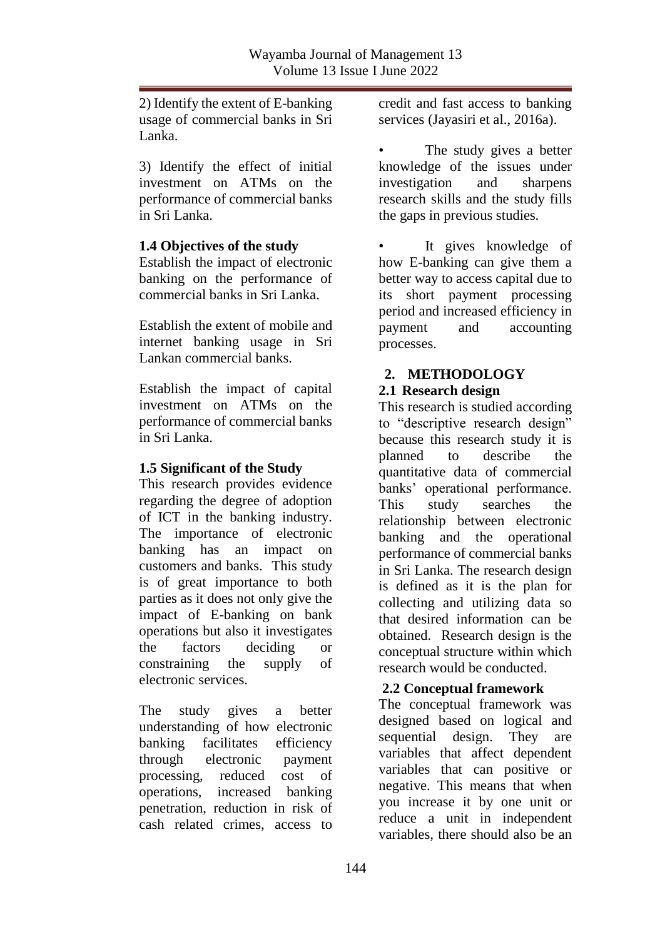2) Identify the extent of E-banking usage of commercial banks in Sri Lanka.

3) Identify the effect of initial investment on ATMs on the performance of commercial banks in Sri Lanka.

#### **1.4 Objectives of the study**

Establish the impact of electronic banking on the performance of commercial banks in Sri Lanka.

Establish the extent of mobile and internet banking usage in Sri Lankan commercial banks.

Establish the impact of capital investment on ATMs on the performance of commercial banks in Sri Lanka.

#### **1.5 Significant of the Study**

This research provides evidence regarding the degree of adoption of ICT in the banking industry. The importance of electronic banking has an impact on customers and banks. This study is of great importance to both parties as it does not only give the impact of E-banking on bank operations but also it investigates the factors deciding or constraining the supply of electronic services.

The study gives a better understanding of how electronic banking facilitates efficiency through electronic payment processing, reduced cost of operations, increased banking penetration, reduction in risk of cash related crimes, access to

credit and fast access to banking services (Jayasiri et al., 2016a).

The study gives a better knowledge of the issues under investigation and sharpens research skills and the study fills the gaps in previous studies.

It gives knowledge of how E-banking can give them a better way to access capital due to its short payment processing period and increased efficiency in payment and accounting processes.

# **2. METHODOLOGY**

### **2.1 Research design**

This research is studied according to "descriptive research design" because this research study it is planned to describe the quantitative data of commercial banks' operational performance. This study searches the relationship between electronic banking and the operational performance of commercial banks in Sri Lanka. The research design is defined as it is the plan for collecting and utilizing data so that desired information can be obtained. Research design is the conceptual structure within which research would be conducted.

### **2.2 Conceptual framework**

The conceptual framework was designed based on logical and sequential design. They are variables that affect dependent variables that can positive or negative. This means that when you increase it by one unit or reduce a unit in independent variables, there should also be an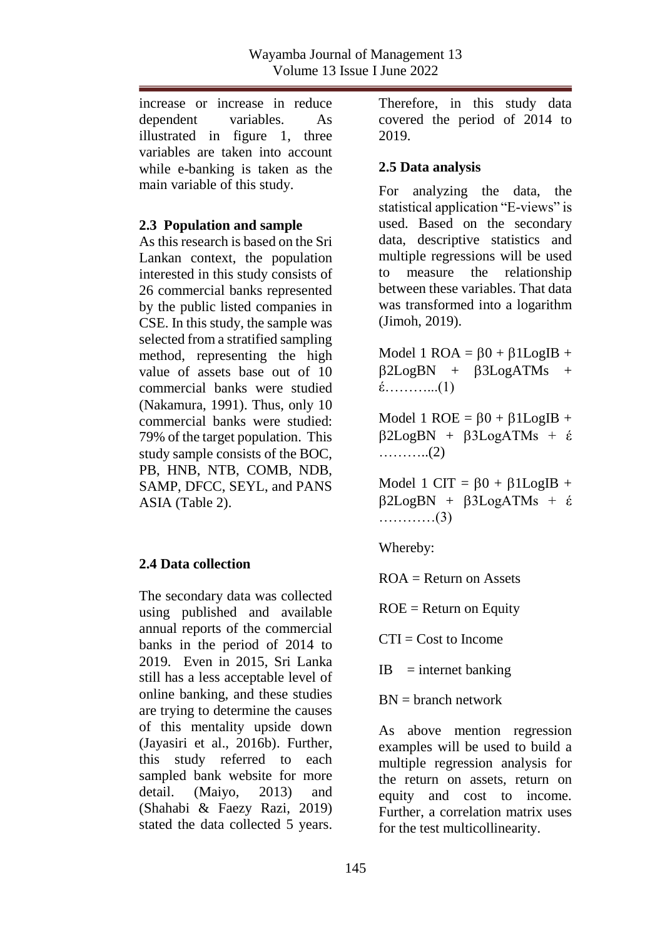increase or increase in reduce dependent variables. As illustrated in figure 1, three variables are taken into account while e-banking is taken as the main variable of this study.

### **2.3 Population and sample**

As this research is based on the Sri Lankan context, the population interested in this study consists of 26 commercial banks represented by the public listed companies in CSE. In this study, the sample was selected from a stratified sampling method, representing the high value of assets base out of 10 commercial banks were studied (Nakamura, 1991). Thus, only 10 commercial banks were studied: 79% of the target population. This study sample consists of the BOC, PB, HNB, NTB, COMB, NDB, SAMP, DFCC, SEYL, and PANS ASIA (Table 2).

# **2.4 Data collection**

The secondary data was collected using published and available annual reports of the commercial banks in the period of 2014 to 2019. Even in 2015, Sri Lanka still has a less acceptable level of online banking, and these studies are trying to determine the causes of this mentality upside down (Jayasiri et al., 2016b). Further, this study referred to each sampled bank website for more detail. (Maiyo, 2013) and (Shahabi & Faezy Razi, 2019) stated the data collected 5 years.

Therefore, in this study data covered the period of 2014 to 2019.

# **2.5 Data analysis**

For analyzing the data, the statistical application "E-views" is used. Based on the secondary data, descriptive statistics and multiple regressions will be used to measure the relationship between these variables. That data was transformed into a logarithm (Jimoh, 2019).

Model 1 ROA =  $60 + 61$ LogIB +  $\beta$ 2LogBN +  $\beta$ 3LogATMs + έ………...(1)

Model 1 ROE =  $\beta$ 0 +  $\beta$ 1LogIB +  $\beta$ 2LogBN +  $\beta$ 3LogATMs + έ ………..(2)

Model 1 CIT =  $\beta$ 0 +  $\beta$ 1LogIB +  $\beta$ 2LogBN +  $\beta$ 3LogATMs + έ …………(3)

Whereby:

 $ROA = Return on Assets$ 

 $ROE = Return$  on Equity

 $CTI = Cost to Income$ 

 $IB$  = internet banking

 $BN = branch$  network

As above mention regression examples will be used to build a multiple regression analysis for the return on assets, return on equity and cost to income. Further, a correlation matrix uses for the test multicollinearity.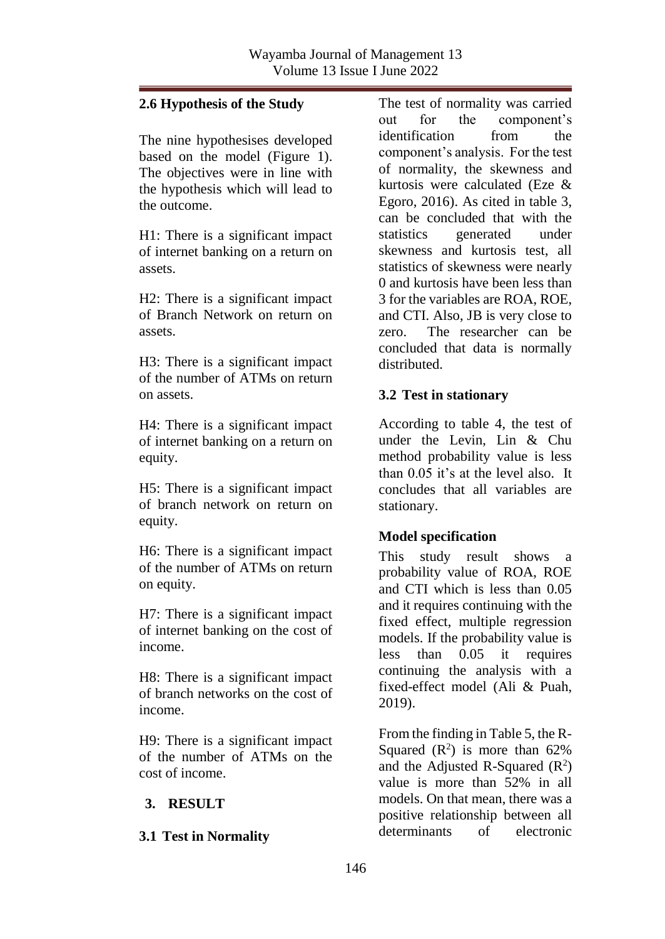### **2.6 Hypothesis of the Study**

The nine hypothesises developed based on the model (Figure 1). The objectives were in line with the hypothesis which will lead to the outcome.

H1: There is a significant impact of internet banking on a return on assets.

H2: There is a significant impact of Branch Network on return on assets.

H3: There is a significant impact of the number of ATMs on return on assets.

H4: There is a significant impact of internet banking on a return on equity.

H5: There is a significant impact of branch network on return on equity.

H6: There is a significant impact of the number of ATMs on return on equity.

H7: There is a significant impact of internet banking on the cost of income.

H8: There is a significant impact of branch networks on the cost of income.

H9: There is a significant impact of the number of ATMs on the cost of income.

# **3. RESULT**

### **3.1 Test in Normality**

The test of normality was carried out for the component's identification from the component's analysis. For the test of normality, the skewness and kurtosis were calculated (Eze & Egoro, 2016). As cited in table 3, can be concluded that with the statistics generated under skewness and kurtosis test, all statistics of skewness were nearly 0 and kurtosis have been less than 3 for the variables are ROA, ROE, and CTI. Also, JB is very close to zero. The researcher can be concluded that data is normally distributed.

### **3.2 Test in stationary**

According to table 4, the test of under the Levin, Lin & Chu method probability value is less than  $0.05$  it's at the level also. It concludes that all variables are stationary.

### **Model specification**

This study result shows a probability value of ROA, ROE and CTI which is less than 0.05 and it requires continuing with the fixed effect, multiple regression models. If the probability value is less than 0.05 it requires continuing the analysis with a fixed-effect model (Ali & Puah, 2019).

From the finding in Table 5, the R-Squared  $(R^2)$  is more than 62% and the Adjusted R-Squared  $(R^2)$ value is more than 52% in all models. On that mean, there was a positive relationship between all determinants of electronic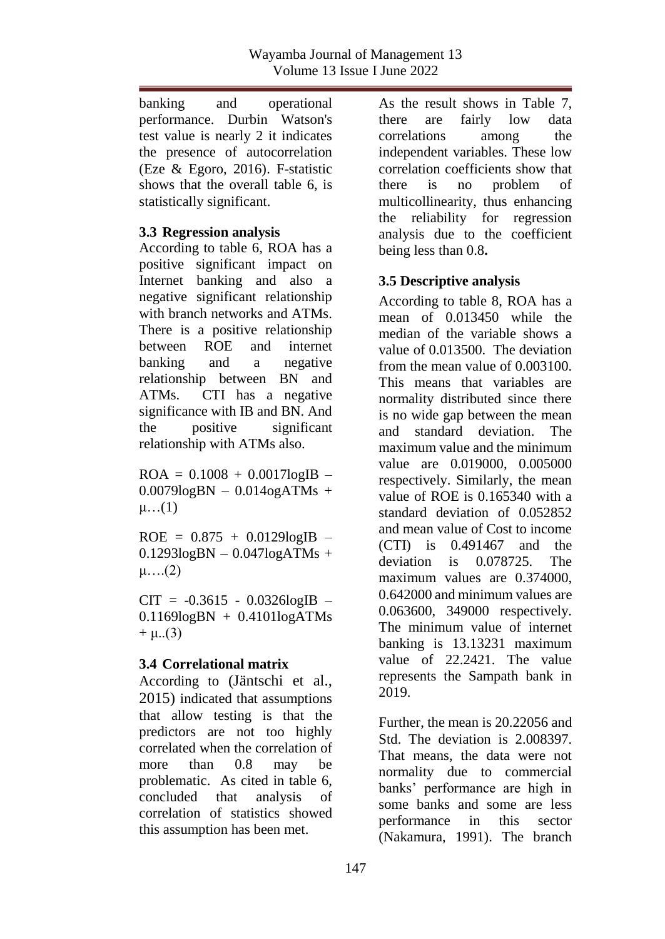banking and operational performance. Durbin Watson's test value is nearly 2 it indicates the presence of autocorrelation (Eze & Egoro, 2016). F-statistic shows that the overall table 6, is statistically significant.

### **3.3 Regression analysis**

According to table 6, ROA has a positive significant impact on Internet banking and also a negative significant relationship with branch networks and ATMs. There is a positive relationship between ROE and internet banking and a negative relationship between BN and ATMs. CTI has a negative significance with IB and BN. And the positive significant relationship with ATMs also.

 $ROA = 0.1008 + 0.0017logIB$  –  $0.0079$ logBN –  $0.014$ ogATMs +  $\mu$ … $(1)$ 

 $ROE = 0.875 + 0.0129logIB$  –  $0.1293logBN - 0.047logATMs +$ μ….(2)

 $CIT = -0.3615 - 0.0326logIB$  $0.1169logBN + 0.4101logATMs$  $+ \mu$ ...(3)

# **3.4 Correlational matrix**

According to (Jäntschi et al., 2015) indicated that assumptions that allow testing is that the predictors are not too highly correlated when the correlation of more than 0.8 may be problematic. As cited in table 6, concluded that analysis of correlation of statistics showed this assumption has been met.

As the result shows in Table 7, there are fairly low data correlations among the independent variables. These low correlation coefficients show that there is no problem of multicollinearity, thus enhancing the reliability for regression analysis due to the coefficient being less than 0.8**.**

# **3.5 Descriptive analysis**

According to table 8, ROA has a mean of 0.013450 while the median of the variable shows a value of 0.013500. The deviation from the mean value of 0.003100. This means that variables are normality distributed since there is no wide gap between the mean and standard deviation. The maximum value and the minimum value are 0.019000, 0.005000 respectively. Similarly, the mean value of ROE is 0.165340 with a standard deviation of 0.052852 and mean value of Cost to income (CTI) is 0.491467 and the deviation is 0.078725. The maximum values are 0.374000. 0.642000 and minimum values are 0.063600, 349000 respectively. The minimum value of internet banking is 13.13231 maximum value of 22.2421. The value represents the Sampath bank in 2019.

Further, the mean is 20.22056 and Std. The deviation is 2.008397. That means, the data were not normality due to commercial banks' performance are high in some banks and some are less performance in this sector (Nakamura, 1991). The branch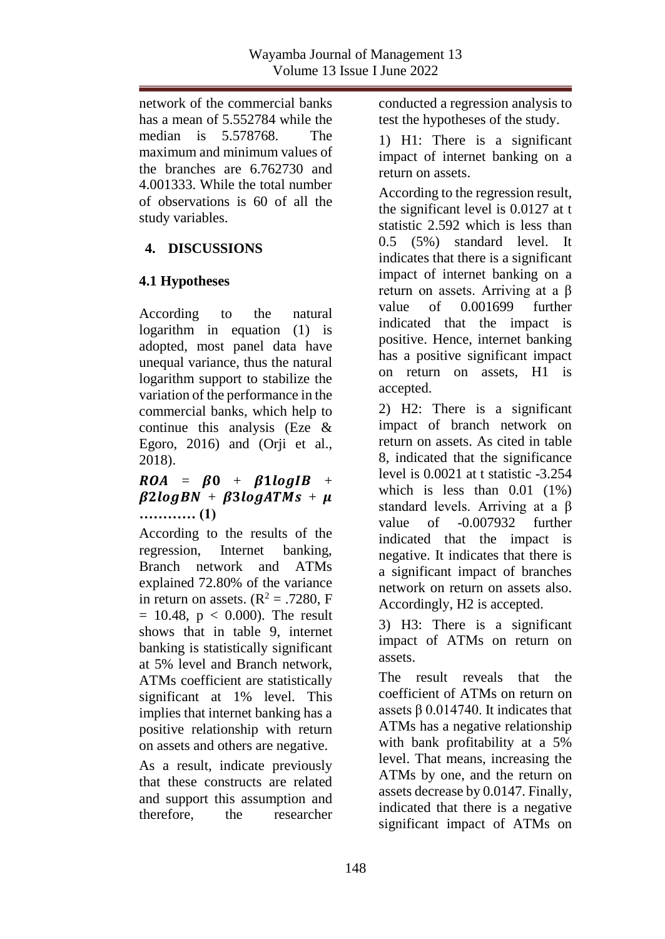network of the commercial banks has a mean of 5.552784 while the median is 5.578768. The maximum and minimum values of the branches are 6.762730 and 4.001333. While the total number of observations is 60 of all the study variables.

# **4. DISCUSSIONS**

# **4.1 Hypotheses**

According to the natural logarithm in equation (1) is adopted, most panel data have unequal variance, thus the natural logarithm support to stabilize the variation of the performance in the commercial banks, which help to continue this analysis (Eze & Egoro, 2016) and (Orii et al., 2018).

# $ROA = BO + B1log IB +$  $B2logBN + B3logATMs + \mu$ **………… (1)**

According to the results of the regression, Internet banking, Branch network and ATMs explained 72.80% of the variance in return on assets.  $(R^2 = .7280, F)$  $= 10.48$ ,  $p < 0.000$ ). The result shows that in table 9, internet banking is statistically significant at 5% level and Branch network, ATMs coefficient are statistically significant at 1% level. This implies that internet banking has a positive relationship with return on assets and others are negative.

As a result, indicate previously that these constructs are related and support this assumption and therefore, the researcher

conducted a regression analysis to test the hypotheses of the study.

1) H1: There is a significant impact of internet banking on a return on assets.

According to the regression result, the significant level is 0.0127 at t statistic 2.592 which is less than 0.5 (5%) standard level. It indicates that there is a significant impact of internet banking on a return on assets. Arriving at a β value of 0.001699 further indicated that the impact is positive. Hence, internet banking has a positive significant impact on return on assets, H1 is accepted.

2) H2: There is a significant impact of branch network on return on assets. As cited in table 8, indicated that the significance level is 0.0021 at t statistic -3.254 which is less than  $0.01$   $(1%)$ standard levels. Arriving at a β value of -0.007932 further indicated that the impact is negative. It indicates that there is a significant impact of branches network on return on assets also. Accordingly, H2 is accepted.

3) H3: There is a significant impact of ATMs on return on assets.

The result reveals that the coefficient of ATMs on return on assets  $β$  0.014740. It indicates that ATMs has a negative relationship with bank profitability at a 5% level. That means, increasing the ATMs by one, and the return on assets decrease by 0.0147. Finally, indicated that there is a negative significant impact of ATMs on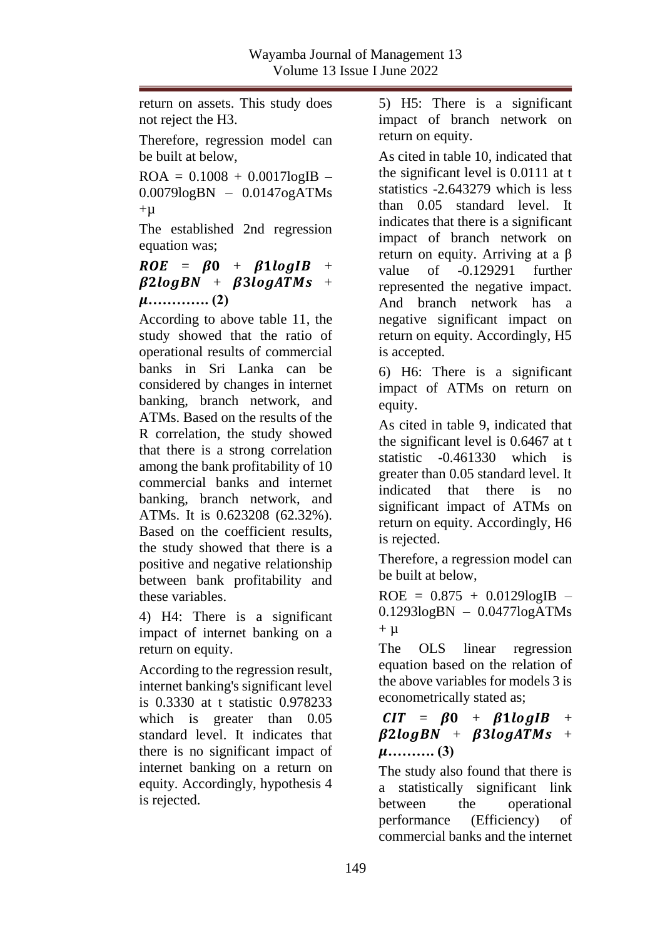return on assets. This study does not reject the H3.

Therefore, regression model can be built at below,

 $ROA = 0.1008 + 0.0017logIB$  – 0.0079logBN – 0.0147ogATMs  $+µ$ 

The established 2nd regression equation was;

# $ROE = BO + B1log IB +$  $\beta$ 2logBN +  $\beta$ 3logATMs + **…………. (2)**

According to above table 11, the study showed that the ratio of operational results of commercial banks in Sri Lanka can be considered by changes in internet banking, branch network, and ATMs. Based on the results of the R correlation, the study showed that there is a strong correlation among the bank profitability of 10 commercial banks and internet banking, branch network, and ATMs. It is 0.623208 (62.32%). Based on the coefficient results, the study showed that there is a positive and negative relationship between bank profitability and these variables.

4) H4: There is a significant impact of internet banking on a return on equity.

According to the regression result, internet banking's significant level is 0.3330 at t statistic 0.978233 which is greater than 0.05 standard level. It indicates that there is no significant impact of internet banking on a return on equity. Accordingly, hypothesis 4 is rejected.

5) H5: There is a significant impact of branch network on return on equity.

As cited in table 10, indicated that the significant level is 0.0111 at t statistics -2.643279 which is less than 0.05 standard level. It indicates that there is a significant impact of branch network on return on equity. Arriving at a β value of -0.129291 further represented the negative impact. And branch network has a negative significant impact on return on equity. Accordingly, H5 is accepted.

6) H6: There is a significant impact of ATMs on return on equity.

As cited in table 9, indicated that the significant level is 0.6467 at t statistic -0.461330 which is greater than 0.05 standard level. It indicated that there is no significant impact of ATMs on return on equity. Accordingly, H6 is rejected.

Therefore, a regression model can be built at below,

 $ROE = 0.875 + 0.0129logIB$  – 0.1293logBN – 0.0477logATMs  $+ \mu$ 

The OLS linear regression equation based on the relation of the above variables for models 3 is econometrically stated as;

# $CIT = \beta 0 + \beta 1 logIB +$  $\beta$ 2logBN +  $\beta$ 3logATMs + **………. (3)**

The study also found that there is a statistically significant link between the operational performance (Efficiency) of commercial banks and the internet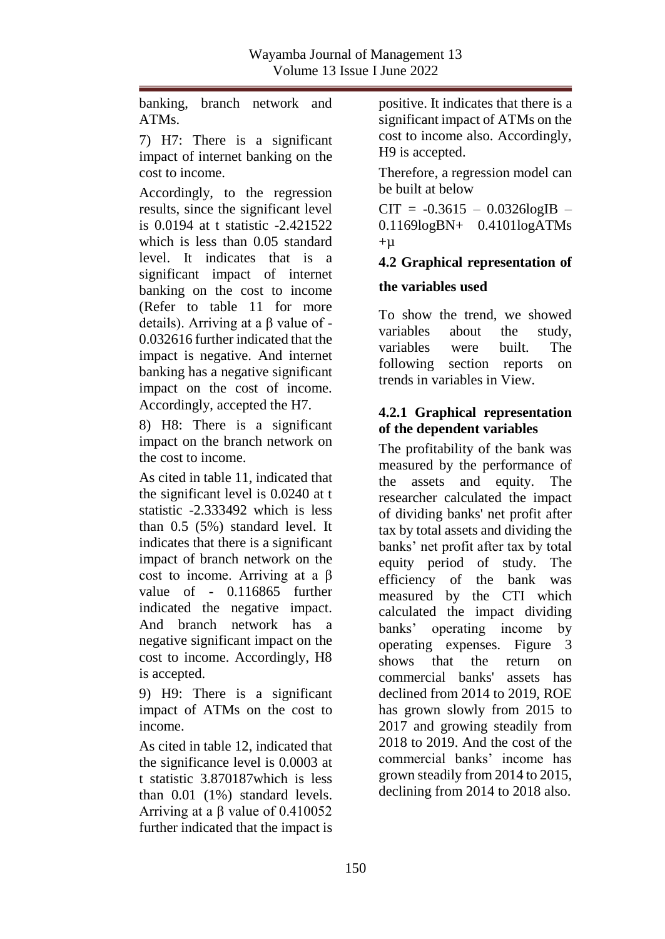banking, branch network and ATMs.

7) H7: There is a significant impact of internet banking on the cost to income.

Accordingly, to the regression results, since the significant level is 0.0194 at t statistic -2.421522 which is less than 0.05 standard level. It indicates that is a significant impact of internet banking on the cost to income (Refer to table 11 for more details). Arriving at a β value of - 0.032616 further indicated that the impact is negative. And internet banking has a negative significant impact on the cost of income. Accordingly, accepted the H7.

8) H8: There is a significant impact on the branch network on the cost to income.

As cited in table 11, indicated that the significant level is 0.0240 at t statistic -2.333492 which is less than 0.5 (5%) standard level. It indicates that there is a significant impact of branch network on the cost to income. Arriving at a β value of - 0.116865 further indicated the negative impact. And branch network has a negative significant impact on the cost to income. Accordingly, H8 is accepted.

9) H9: There is a significant impact of ATMs on the cost to income.

As cited in table 12, indicated that the significance level is 0.0003 at t statistic 3.870187which is less than 0.01 (1%) standard levels. Arriving at a β value of 0.410052 further indicated that the impact is

positive. It indicates that there is a significant impact of ATMs on the cost to income also. Accordingly, H9 is accepted.

Therefore, a regression model can be built at below

 $CIT = -0.3615 - 0.0326logIB$ 0.1169logBN+ 0.4101logATMs  $+u$ 

# **4.2 Graphical representation of**

# **the variables used**

To show the trend, we showed variables about the study, variables were built. The following section reports on trends in variables in View.

# **4.2.1 Graphical representation of the dependent variables**

The profitability of the bank was measured by the performance of the assets and equity. The researcher calculated the impact of dividing banks' net profit after tax by total assets and dividing the banks' net profit after tax by total equity period of study. The efficiency of the bank was measured by the CTI which calculated the impact dividing banks' operating income by operating expenses. Figure 3 shows that the return on commercial banks' assets has declined from 2014 to 2019, ROE has grown slowly from 2015 to 2017 and growing steadily from 2018 to 2019. And the cost of the commercial banks' income has grown steadily from 2014 to 2015, declining from 2014 to 2018 also.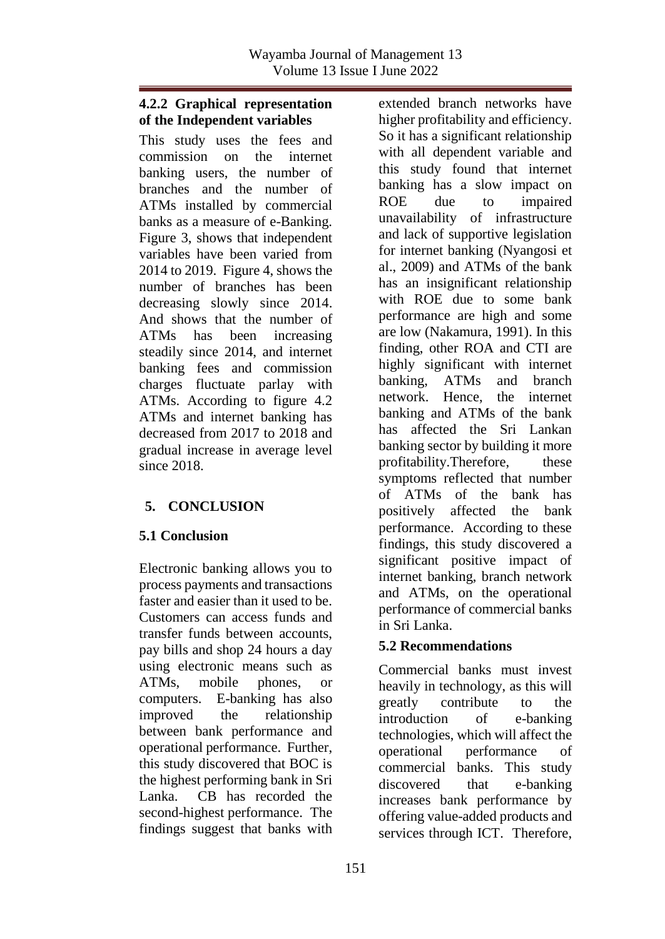# **4.2.2 Graphical representation of the Independent variables**

This study uses the fees and commission on the internet banking users, the number of branches and the number of ATMs installed by commercial banks as a measure of e-Banking. Figure 3, shows that independent variables have been varied from 2014 to 2019. Figure 4, shows the number of branches has been decreasing slowly since 2014. And shows that the number of ATMs has been increasing steadily since 2014, and internet banking fees and commission charges fluctuate parlay with ATMs. According to figure 4.2 ATMs and internet banking has decreased from 2017 to 2018 and gradual increase in average level since 2018

# **5. CONCLUSION**

# **5.1 Conclusion**

Electronic banking allows you to process payments and transactions faster and easier than it used to be. Customers can access funds and transfer funds between accounts, pay bills and shop 24 hours a day using electronic means such as ATMs, mobile phones, or computers. E-banking has also improved the relationship between bank performance and operational performance. Further, this study discovered that BOC is the highest performing bank in Sri Lanka. CB has recorded the second-highest performance. The findings suggest that banks with extended branch networks have higher profitability and efficiency. So it has a significant relationship with all dependent variable and this study found that internet banking has a slow impact on ROE due to impaired unavailability of infrastructure and lack of supportive legislation for internet banking (Nyangosi et al., 2009) and ATMs of the bank has an insignificant relationship with ROE due to some bank performance are high and some are low (Nakamura, 1991). In this finding, other ROA and CTI are highly significant with internet banking, ATMs and branch network. Hence, the internet banking and ATMs of the bank has affected the Sri Lankan banking sector by building it more profitability.Therefore, these symptoms reflected that number of ATMs of the bank has positively affected the bank performance. According to these findings, this study discovered a significant positive impact of internet banking, branch network and ATMs, on the operational performance of commercial banks in Sri Lanka.

# **5.2 Recommendations**

Commercial banks must invest heavily in technology, as this will greatly contribute to the introduction of e-banking technologies, which will affect the operational performance of commercial banks. This study discovered that e-banking increases bank performance by offering value-added products and services through ICT. Therefore,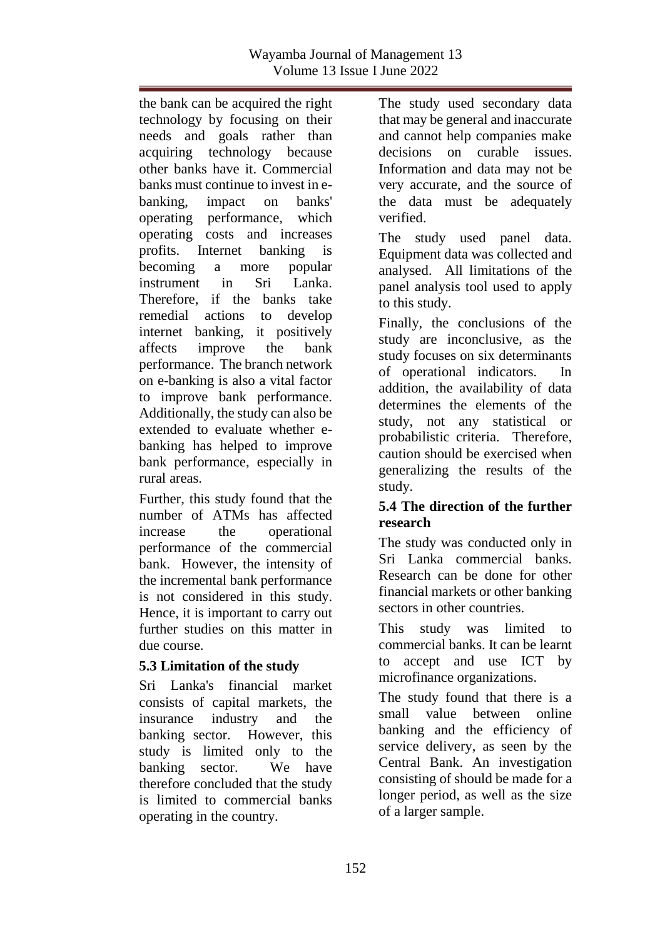the bank can be acquired the right technology by focusing on their needs and goals rather than acquiring technology because other banks have it. Commercial banks must continue to invest in ebanking, impact on banks' operating performance, which operating costs and increases profits. Internet banking is becoming a more popular instrument in Sri Lanka. Therefore, if the banks take remedial actions to develop internet banking, it positively affects improve the bank performance. The branch network on e-banking is also a vital factor to improve bank performance. Additionally, the study can also be extended to evaluate whether ebanking has helped to improve bank performance, especially in rural areas.

Further, this study found that the number of ATMs has affected increase the operational performance of the commercial bank. However, the intensity of the incremental bank performance is not considered in this study. Hence, it is important to carry out further studies on this matter in due course.

### **5.3 Limitation of the study**

Sri Lanka's financial market consists of capital markets, the insurance industry and the banking sector. However, this study is limited only to the banking sector. We have therefore concluded that the study is limited to commercial banks operating in the country.

The study used secondary data that may be general and inaccurate and cannot help companies make decisions on curable issues. Information and data may not be very accurate, and the source of the data must be adequately verified.

The study used panel data. Equipment data was collected and analysed. All limitations of the panel analysis tool used to apply to this study.

Finally, the conclusions of the study are inconclusive, as the study focuses on six determinants of operational indicators. In addition, the availability of data determines the elements of the study, not any statistical or probabilistic criteria. Therefore, caution should be exercised when generalizing the results of the study.

# **5.4 The direction of the further research**

The study was conducted only in Sri Lanka commercial banks. Research can be done for other financial markets or other banking sectors in other countries.

This study was limited to commercial banks. It can be learnt to accept and use ICT by microfinance organizations.

The study found that there is a small value between online banking and the efficiency of service delivery, as seen by the Central Bank. An investigation consisting of should be made for a longer period, as well as the size of a larger sample.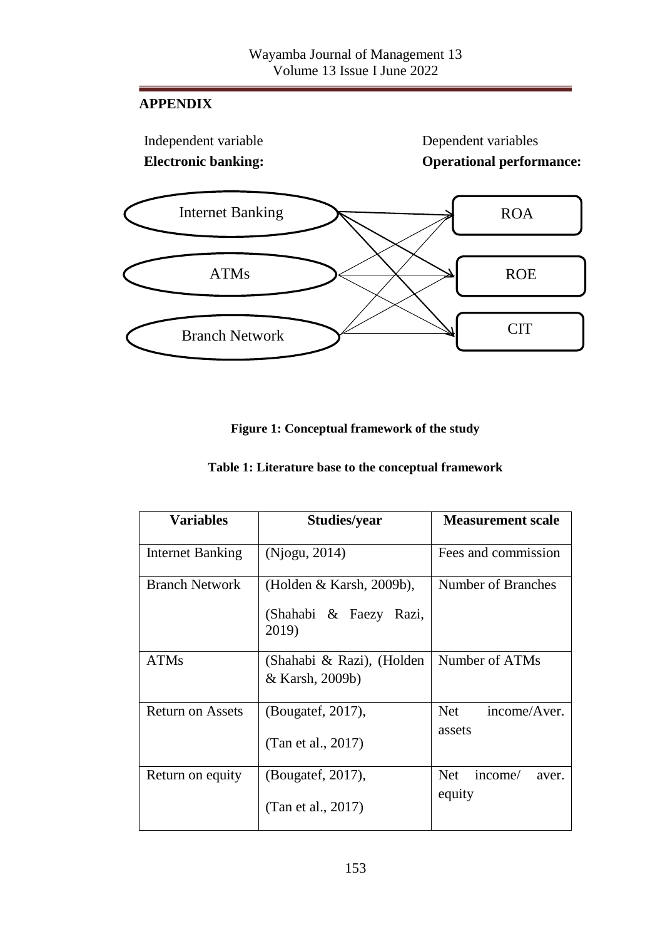# **APPENDIX**



# **Figure 1: Conceptual framework of the study**

| Table 1: Literature base to the conceptual framework |  |  |  |  |  |
|------------------------------------------------------|--|--|--|--|--|
|------------------------------------------------------|--|--|--|--|--|

| Variables               | <b>Studies/year</b>                                            | <b>Measurement scale</b>                 |
|-------------------------|----------------------------------------------------------------|------------------------------------------|
| <b>Internet Banking</b> | (Njogu, 2014)                                                  | Fees and commission                      |
| <b>Branch Network</b>   | (Holden & Karsh, 2009b),<br>(Shahabi & Faezy<br>Razi,<br>2019) | Number of Branches                       |
| <b>ATMs</b>             | (Shahabi & Razi), (Holden<br>& Karsh, 2009b)                   | Number of ATMs                           |
| Return on Assets        | (Bougatef, 2017),<br>(Tan et al., 2017)                        | <b>Net</b><br>income/Aver.<br>assets     |
| Return on equity        | (Bougatef, 2017),<br>(Tan et al., 2017)                        | <b>Net</b><br>income/<br>aver.<br>equity |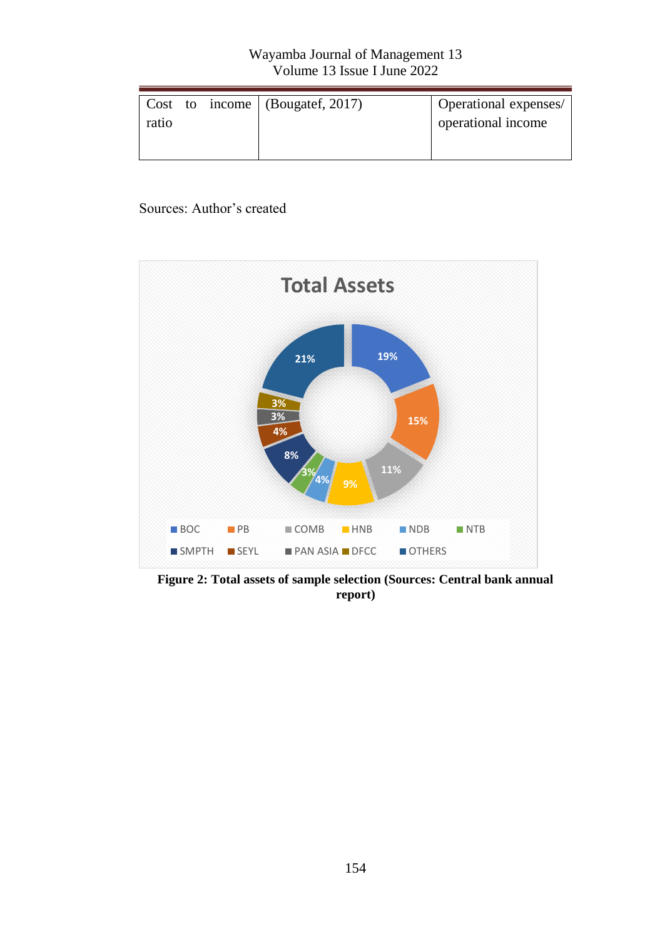| Operational expenses/ |
|-----------------------|
| operational income    |
|                       |
|                       |

### Sources: Author's created



**Figure 2: Total assets of sample selection (Sources: Central bank annual report)**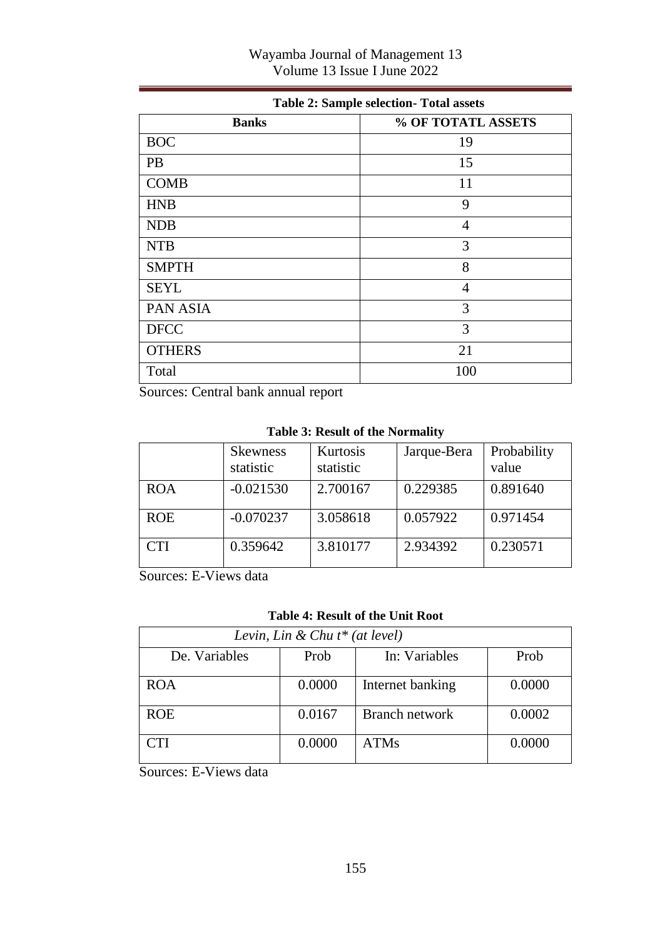| Wayamba Journal of Management 13 |  |
|----------------------------------|--|
| Volume 13 Issue I June 2022      |  |

| Table 2. Bampic sciection- Total assets |                    |  |  |  |  |
|-----------------------------------------|--------------------|--|--|--|--|
| <b>Banks</b>                            | % OF TOTATL ASSETS |  |  |  |  |
| <b>BOC</b>                              | 19                 |  |  |  |  |
| PB                                      | 15                 |  |  |  |  |
| <b>COMB</b>                             | 11                 |  |  |  |  |
| <b>HNB</b>                              | 9                  |  |  |  |  |
| <b>NDB</b>                              | 4                  |  |  |  |  |
| <b>NTB</b>                              | 3                  |  |  |  |  |
| <b>SMPTH</b>                            | 8                  |  |  |  |  |
| <b>SEYL</b>                             | 4                  |  |  |  |  |
| PAN ASIA                                | 3                  |  |  |  |  |
| <b>DFCC</b>                             | 3                  |  |  |  |  |
| <b>OTHERS</b>                           | 21                 |  |  |  |  |
| Total                                   | 100                |  |  |  |  |

# **Table 2: Sample selection- Total assets**

Sources: Central bank annual report

#### **Table 3: Result of the Normality**

|            | <b>Skewness</b><br>statistic | Kurtosis<br>statistic | Jarque-Bera | Probability<br>value |
|------------|------------------------------|-----------------------|-------------|----------------------|
| <b>ROA</b> | $-0.021530$                  | 2.700167              | 0.229385    | 0.891640             |
| <b>ROE</b> | $-0.070237$                  | 3.058618              | 0.057922    | 0.971454             |
| <b>CTI</b> | 0.359642                     | 3.810177              | 2.934392    | 0.230571             |

Sources: E-Views data

#### **Table 4: Result of the Unit Root**

| Levin, Lin & Chu $t^*$ (at level) |        |                  |        |  |  |  |
|-----------------------------------|--------|------------------|--------|--|--|--|
| De. Variables                     | Prob   | In: Variables    | Prob   |  |  |  |
| <b>ROA</b>                        | 0.0000 | Internet banking | 0.0000 |  |  |  |
| <b>ROE</b>                        | 0.0167 | Branch network   | 0.0002 |  |  |  |
| CTI                               | 0.0000 | ATMs             | 0.0000 |  |  |  |

Sources: E-Views data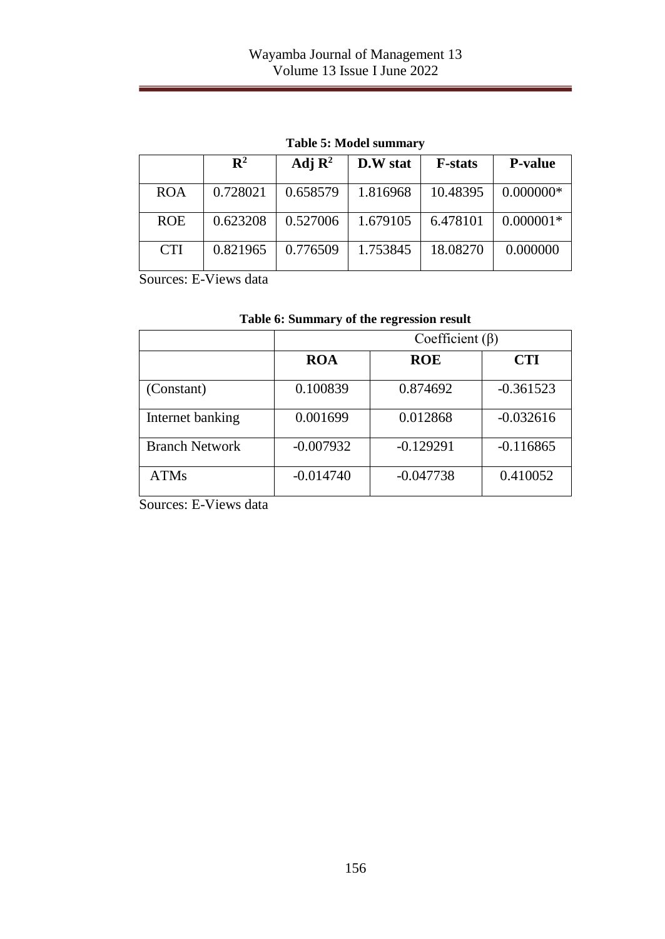|            | $\mathbf{R}^2$ | Adj $\mathbb{R}^2$ | D.W stat | <b>F</b> -stats | <b>P-value</b> |
|------------|----------------|--------------------|----------|-----------------|----------------|
| <b>ROA</b> | 0.728021       | 0.658579           | 1.816968 | 10.48395        | $0.000000*$    |
| <b>ROE</b> | 0.623208       | 0.527006           | 1.679105 | 6.478101        | $0.000001*$    |
| <b>CTI</b> | 0.821965       | 0.776509           | 1.753845 | 18.08270        | 0.000000       |

**Table 5: Model summary**

Sources: E-Views data

|                       | Coefficient $(\beta)$ |             |             |  |  |  |
|-----------------------|-----------------------|-------------|-------------|--|--|--|
|                       | <b>ROA</b>            | <b>ROE</b>  | <b>CTI</b>  |  |  |  |
| (Constant)            | 0.100839              | 0.874692    | $-0.361523$ |  |  |  |
| Internet banking      | 0.001699              | 0.012868    | $-0.032616$ |  |  |  |
| <b>Branch Network</b> | $-0.007932$           | $-0.129291$ | $-0.116865$ |  |  |  |
| <b>ATMs</b>           | $-0.014740$           | $-0.047738$ | 0.410052    |  |  |  |

|  |  |  | Table 6: Summary of the regression result |  |
|--|--|--|-------------------------------------------|--|
|--|--|--|-------------------------------------------|--|

Sources: E-Views data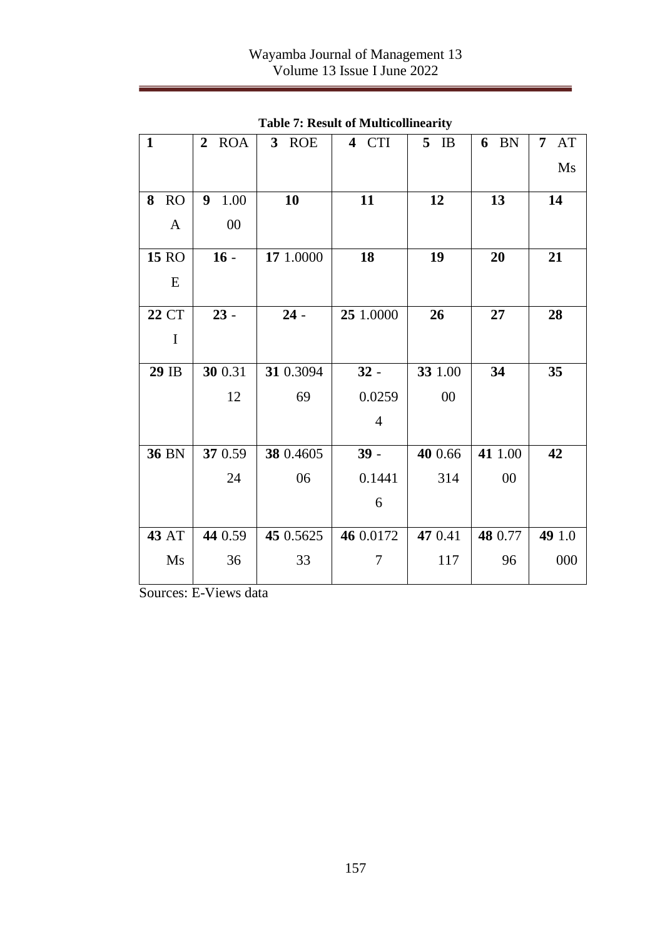| $\mathbf{1}$   | <b>ROA</b><br>2 | 3 ROE     | 4 CTI          | 5<br>IB | 6 BN    | 7 AT   |
|----------------|-----------------|-----------|----------------|---------|---------|--------|
|                |                 |           |                |         |         | Ms     |
|                |                 |           |                |         |         |        |
| 8<br><b>RO</b> | 9 1.00          | 10        | 11             | 12      | 13      | 14     |
| A              | $00\,$          |           |                |         |         |        |
| 15 RO          | $16 -$          | 17 1.0000 | 18             | 19      | 20      | 21     |
| E              |                 |           |                |         |         |        |
| <b>22 CT</b>   | $23 -$          | $24 -$    | 25 1.0000      | 26      | 27      | 28     |
| I              |                 |           |                |         |         |        |
| 29 IB          | 30 0.31         | 31 0.3094 | $32 -$         | 33 1.00 | 34      | 35     |
|                | 12              | 69        | 0.0259         | $00\,$  |         |        |
|                |                 |           | $\overline{4}$ |         |         |        |
|                |                 |           |                |         |         |        |
| <b>36 BN</b>   | 37 0.59         | 38 0.4605 | $39 -$         | 40 0.66 | 41 1.00 | 42     |
|                | 24              | 06        | 0.1441         | 314     | 00      |        |
|                |                 |           | 6              |         |         |        |
| <b>43 AT</b>   | 44 0.59         | 45 0.5625 | 46 0.0172      | 47 0.41 | 48 0.77 | 49 1.0 |
| Ms             | 36              | 33        | 7              | 117     | 96      | 000    |
|                |                 |           |                |         |         |        |

**Table 7: Result of Multicollinearity**

Sources: E-Views data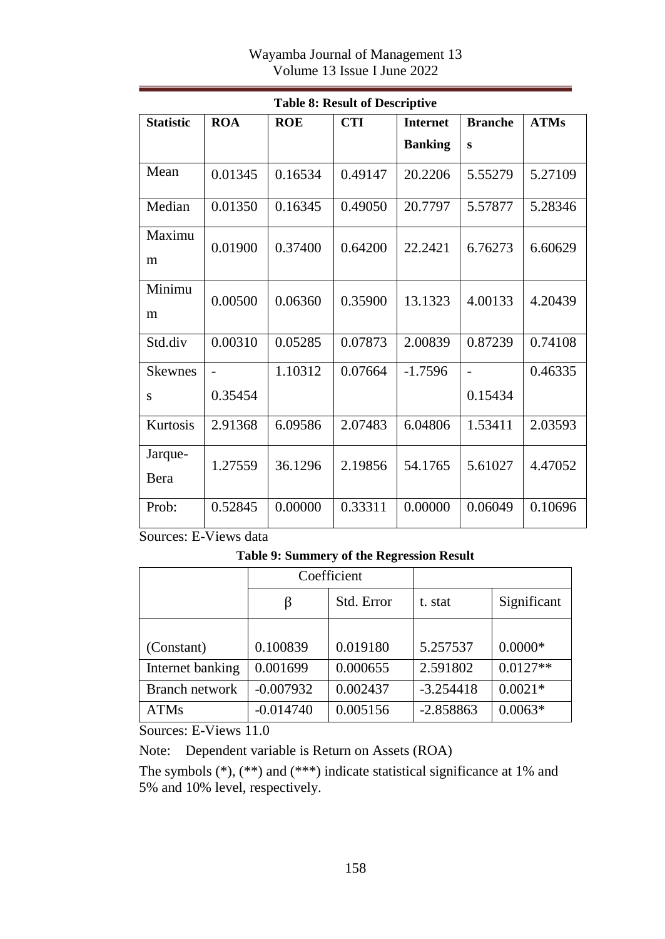| Table 8: Result of Descriptive |                |            |            |                 |                |             |  |
|--------------------------------|----------------|------------|------------|-----------------|----------------|-------------|--|
| <b>Statistic</b>               | <b>ROA</b>     | <b>ROE</b> | <b>CTI</b> | <b>Internet</b> | <b>Branche</b> | <b>ATMs</b> |  |
|                                |                |            |            | <b>Banking</b>  | S              |             |  |
| Mean                           | 0.01345        | 0.16534    | 0.49147    | 20.2206         | 5.55279        | 5.27109     |  |
| Median                         | 0.01350        | 0.16345    | 0.49050    | 20.7797         | 5.57877        | 5.28346     |  |
| Maximu<br>m                    | 0.01900        | 0.37400    | 0.64200    | 22.2421         | 6.76273        | 6.60629     |  |
| Minimu<br>m                    | 0.00500        | 0.06360    | 0.35900    | 13.1323         | 4.00133        | 4.20439     |  |
| Std.div                        | 0.00310        | 0.05285    | 0.07873    | 2.00839         | 0.87239        | 0.74108     |  |
| <b>Skewnes</b>                 | $\overline{a}$ | 1.10312    | 0.07664    | $-1.7596$       | $\overline{a}$ | 0.46335     |  |
| S                              | 0.35454        |            |            |                 | 0.15434        |             |  |
| Kurtosis                       | 2.91368        | 6.09586    | 2.07483    | 6.04806         | 1.53411        | 2.03593     |  |
| Jarque-<br>Bera                | 1.27559        | 36.1296    | 2.19856    | 54.1765         | 5.61027        | 4.47052     |  |
| Prob:                          | 0.52845        | 0.00000    | 0.33311    | 0.00000         | 0.06049        | 0.10696     |  |

# **Table 8: Result of Descriptive**

Sources: E-Views data

**Table 9: Summery of the Regression Result**

|                       | Coefficient |            |             |             |
|-----------------------|-------------|------------|-------------|-------------|
|                       | β           | Std. Error | t. stat     | Significant |
|                       |             |            |             |             |
| (Constant)            | 0.100839    | 0.019180   | 5.257537    | $0.0000*$   |
| Internet banking      | 0.001699    | 0.000655   | 2.591802    | $0.0127**$  |
| <b>Branch network</b> | $-0.007932$ | 0.002437   | $-3.254418$ | $0.0021*$   |
| <b>ATMs</b>           | $-0.014740$ | 0.005156   | $-2.858863$ | $0.0063*$   |

Sources: E-Views 11.0

Note: Dependent variable is Return on Assets (ROA)

The symbols (\*), (\*\*) and (\*\*\*) indicate statistical significance at 1% and 5% and 10% level, respectively.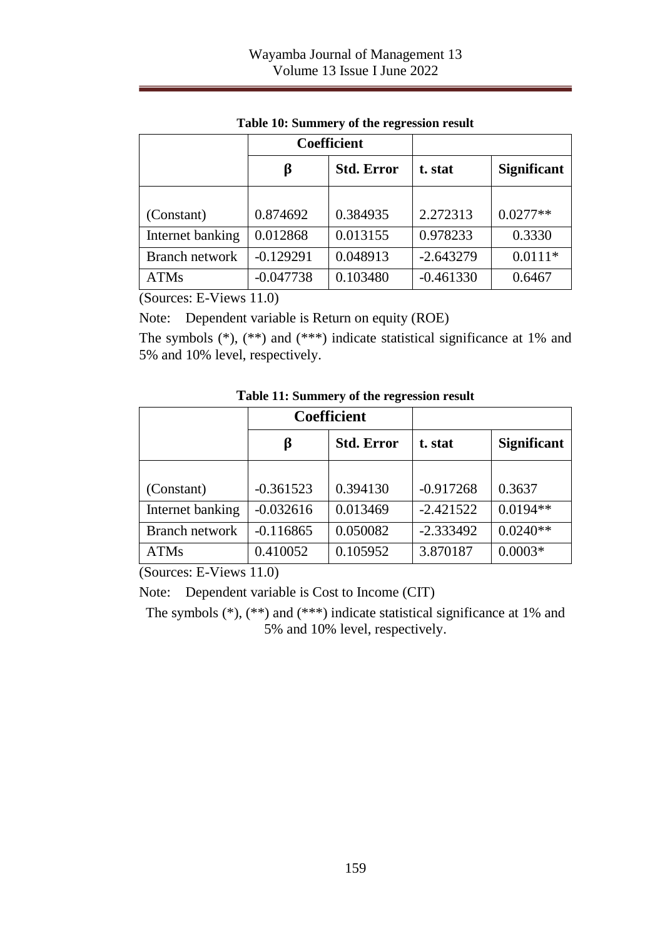|                  | <b>Coefficient</b> |                   |             |                    |
|------------------|--------------------|-------------------|-------------|--------------------|
|                  | β                  | <b>Std. Error</b> | t. stat     | <b>Significant</b> |
|                  |                    |                   |             |                    |
| (Constant)       | 0.874692           | 0.384935          | 2.272313    | $0.0277**$         |
| Internet banking | 0.012868           | 0.013155          | 0.978233    | 0.3330             |
| Branch network   | $-0.129291$        | 0.048913          | $-2.643279$ | $0.0111*$          |
| <b>ATMs</b>      | $-0.047738$        | 0.103480          | $-0.461330$ | 0.6467             |

**Table 10: Summery of the regression result**

(Sources: E-Views 11.0)

Note: Dependent variable is Return on equity (ROE)

The symbols (\*), (\*\*) and (\*\*\*) indicate statistical significance at 1% and 5% and 10% level, respectively.

|                  | <b>Coefficient</b> |                   |             |                    |
|------------------|--------------------|-------------------|-------------|--------------------|
|                  | β                  | <b>Std. Error</b> | t. stat     | <b>Significant</b> |
|                  |                    |                   |             |                    |
| (Constant)       | $-0.361523$        | 0.394130          | $-0.917268$ | 0.3637             |
| Internet banking | $-0.032616$        | 0.013469          | $-2.421522$ | $0.0194**$         |
| Branch network   | $-0.116865$        | 0.050082          | $-2.333492$ | $0.0240**$         |
| <b>ATMs</b>      | 0.410052           | 0.105952          | 3.870187    | $0.0003*$          |

**Table 11: Summery of the regression result**

(Sources: E-Views 11.0)

Note: Dependent variable is Cost to Income (CIT)

The symbols (\*), (\*\*) and (\*\*\*) indicate statistical significance at 1% and 5% and 10% level, respectively.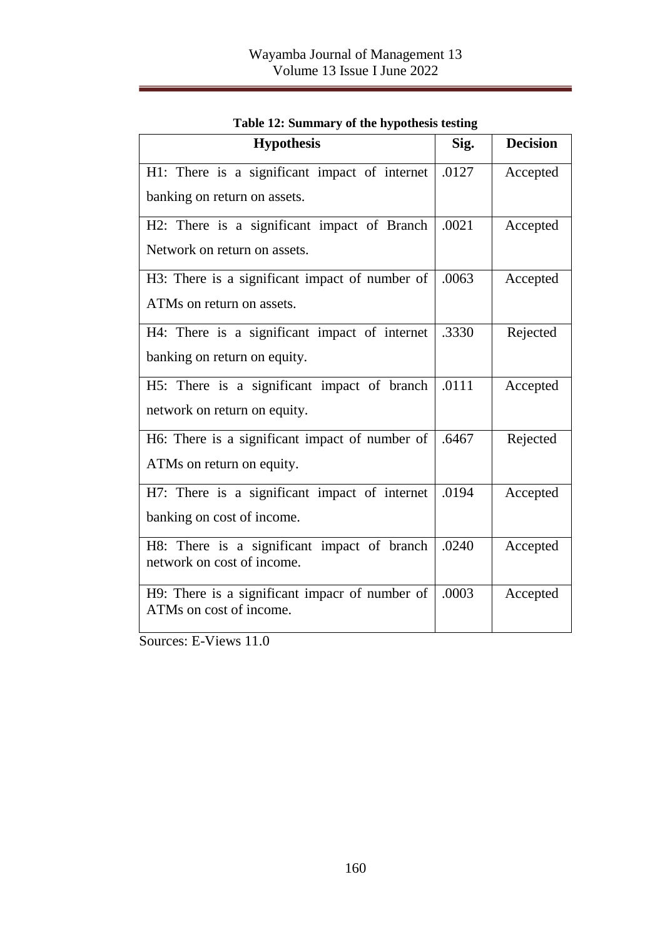| <b>Hypothesis</b>                                                             | Sig.  | <b>Decision</b> |
|-------------------------------------------------------------------------------|-------|-----------------|
| H1: There is a significant impact of internet<br>banking on return on assets. | .0127 | Accepted        |
| H2: There is a significant impact of Branch<br>Network on return on assets.   | .0021 | Accepted        |
| H3: There is a significant impact of number of<br>ATMs on return on assets.   | .0063 | Accepted        |
| H4: There is a significant impact of internet<br>banking on return on equity. | .3330 | Rejected        |
| H5: There is a significant impact of branch<br>network on return on equity.   | .0111 | Accepted        |
| H6: There is a significant impact of number of<br>ATMs on return on equity.   | .6467 | Rejected        |
| H7: There is a significant impact of internet<br>banking on cost of income.   | .0194 | Accepted        |
| H8: There is a significant impact of branch<br>network on cost of income.     | .0240 | Accepted        |
| H9: There is a significant impacr of number of<br>ATMs on cost of income.     | .0003 | Accepted        |

|  |  |  | Table 12: Summary of the hypothesis testing |  |
|--|--|--|---------------------------------------------|--|
|--|--|--|---------------------------------------------|--|

Sources: E-Views 11.0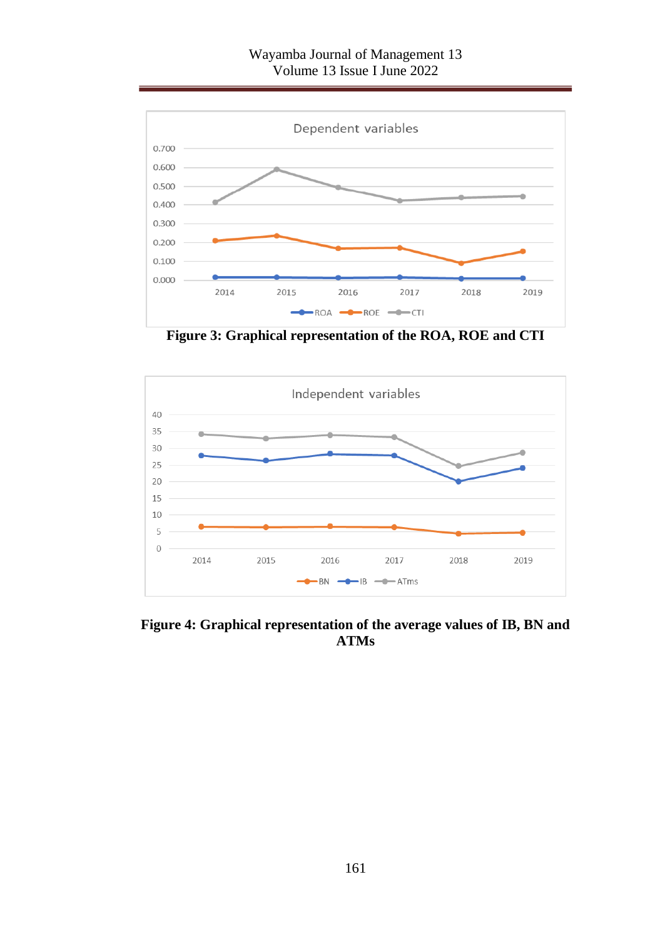### Wayamba Journal of Management 13 Volume 13 Issue I June 2022



**Figure 3: Graphical representation of the ROA, ROE and CTI**



**Figure 4: Graphical representation of the average values of IB, BN and ATMs**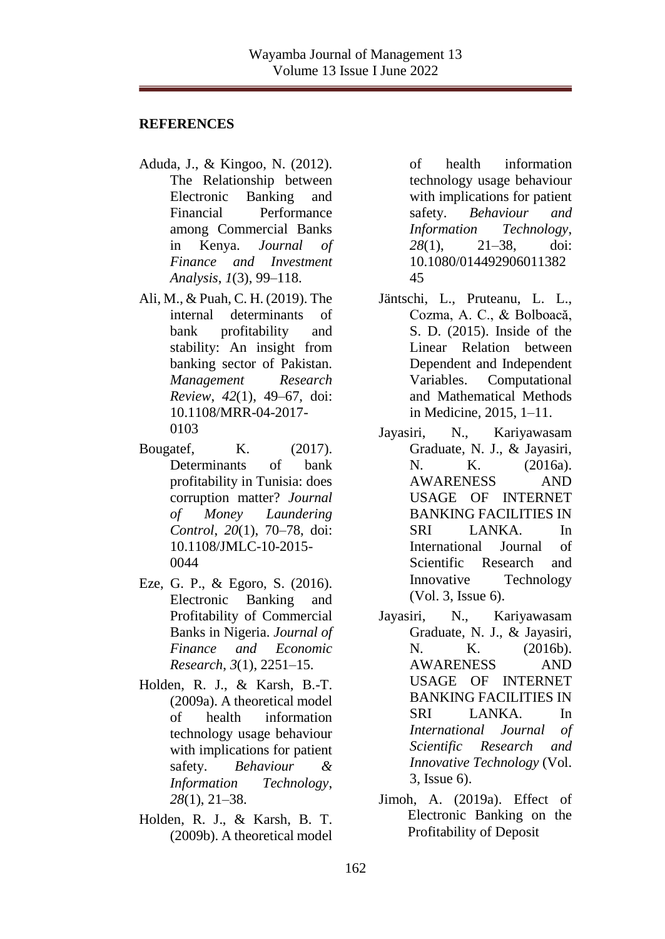#### **REFERENCES**

- Aduda, J., & Kingoo, N. (2012). The Relationship between Electronic Banking and Financial Performance among Commercial Banks in Kenya. *Journal of Finance and Investment Analysis*, *1*(3), 99–118.
- Ali, M., & Puah, C. H. (2019). The internal determinants of bank profitability and stability: An insight from banking sector of Pakistan. *Management Research Review*, *42*(1), 49–67, doi: 10.1108/MRR-04-2017- 0103
- Bougatef, K. (2017). Determinants of bank profitability in Tunisia: does corruption matter? *Journal of Money Laundering Control*, *20*(1), 70–78, doi: 10.1108/JMLC-10-2015- 0044
- Eze, G. P., & Egoro, S. (2016). Electronic Banking and Profitability of Commercial Banks in Nigeria. *Journal of Finance and Economic Research*, *3*(1), 2251–15.
- Holden, R. J., & Karsh, B.-T. (2009a). A theoretical model of health information technology usage behaviour with implications for patient safety. *Behaviour & Information Technology*, *28*(1), 21–38.
- Holden, R. J., & Karsh, B. T. (2009b). A theoretical model

of health information technology usage behaviour with implications for patient safety. *Behaviour and Information Technology*, *28*(1), 21–38, doi: 10.1080/014492906011382 45

- Jäntschi, L., Pruteanu, L. L., Cozma, A. C., & Bolboacă, S. D. (2015). Inside of the Linear Relation between Dependent and Independent Variables. Computational and Mathematical Methods in Medicine, 2015, 1–11.
- Jayasiri, N., Kariyawasam Graduate, N. J., & Jayasiri, N. K. (2016a). AWARENESS AND USAGE OF INTERNET BANKING FACILITIES IN SRI LANKA. In International Journal of Scientific Research and Innovative Technology (Vol. 3, Issue 6).
- Jayasiri, N., Kariyawasam Graduate, N. J., & Jayasiri, N. K. (2016b). AWARENESS AND USAGE OF INTERNET BANKING FACILITIES IN SRI LANKA. In *International Journal of Scientific Research and Innovative Technology* (Vol. 3, Issue 6).
- Jimoh, A. (2019a). Effect of Electronic Banking on the Profitability of Deposit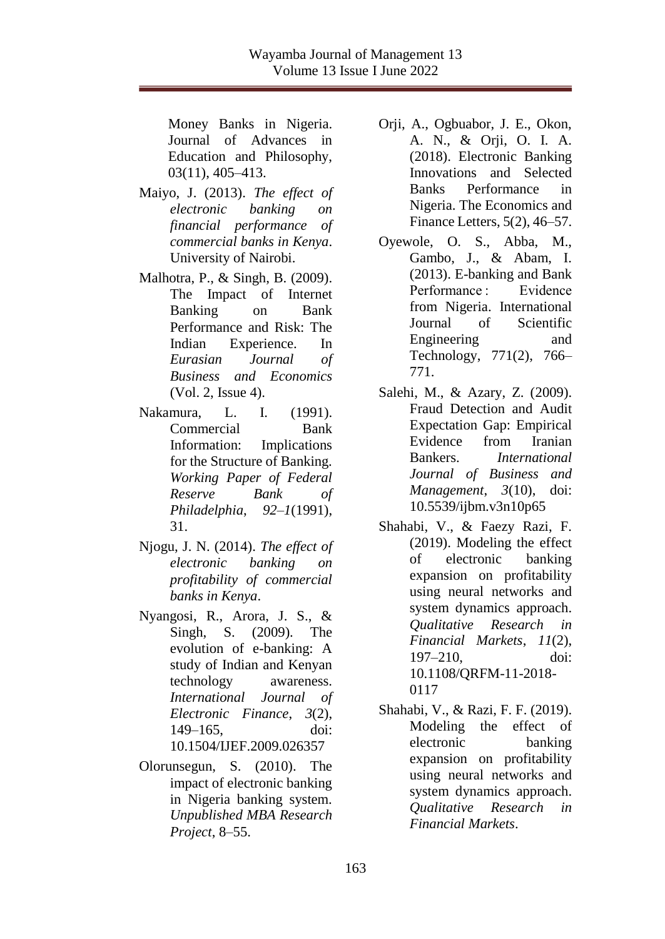Money Banks in Nigeria. Journal of Advances in Education and Philosophy, 03(11), 405–413.

- Maiyo, J. (2013). *The effect of electronic banking on financial performance of commercial banks in Kenya*. University of Nairobi.
- Malhotra, P., & Singh, B. (2009). The Impact of Internet Banking on Bank Performance and Risk: The Indian Experience. In *Eurasian Journal of Business and Economics* (Vol. 2, Issue 4).
- Nakamura, L. I. (1991). Commercial Bank Information: Implications for the Structure of Banking. *Working Paper of Federal Reserve Bank of Philadelphia*, *92*–*1*(1991), 31.
- Njogu, J. N. (2014). *The effect of electronic banking on profitability of commercial banks in Kenya*.
- Nyangosi, R., Arora, J. S., & Singh, S. (2009). The evolution of e-banking: A study of Indian and Kenyan technology awareness. *International Journal of Electronic Finance*, *3*(2), 149–165, doi: 10.1504/IJEF.2009.026357
- Olorunsegun, S. (2010). The impact of electronic banking in Nigeria banking system. *Unpublished MBA Research Project*, 8–55.
- Orji, A., Ogbuabor, J. E., Okon, A. N., & Orji, O. I. A. (2018). Electronic Banking Innovations and Selected Banks Performance in Nigeria. The Economics and Finance Letters, 5(2), 46–57.
- Oyewole, O. S., Abba, M., Gambo, J., & Abam, I. (2013). E-banking and Bank Performance : Evidence from Nigeria. International Journal of Scientific Engineering and Technology, 771(2), 766– 771.
- Salehi, M., & Azary, Z. (2009). Fraud Detection and Audit Expectation Gap: Empirical Evidence from Iranian Bankers. *International Journal of Business and Management*, *3*(10), doi: 10.5539/ijbm.v3n10p65
- Shahabi, V., & Faezy Razi, F. (2019). Modeling the effect of electronic banking expansion on profitability using neural networks and system dynamics approach. *Qualitative Research in Financial Markets*, *11*(2), 197–210, doi: 10.1108/QRFM-11-2018- 0117
- Shahabi, V., & Razi, F. F. (2019). Modeling the effect of electronic banking expansion on profitability using neural networks and system dynamics approach. *Qualitative Research in Financial Markets*.